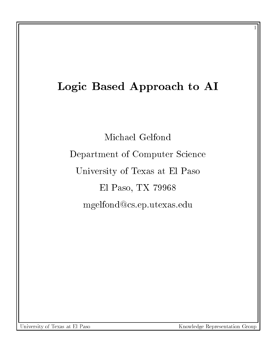# Logic Based Approach to AI

Michael Gelfond Department of Computer Science University of Texas at El Paso El Paso, TX 79968 mgelfond@cs.ep.utexas.edu

University of Texas at El Paso

Knowledge Representation Group

 $\sim$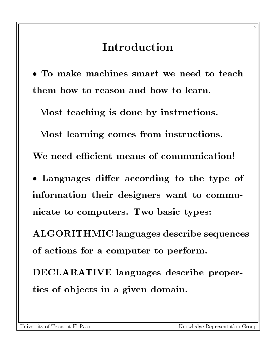## Introduction

 $\bullet$  To make machines smart we need to teach  $\,$   $\,$   $\,$   $\,$   $\,$   $\,$   $\,$ them how to reason and how to learn.

Most teaching is done by instructions.

Most learning comes from instructions.

We need efficient means of communication!

 $\bullet$  Languages differ according to the type of  $\hspace{0.1mm}$ information their designers want to communicate to computers. Two basic types:

ALGORITHMIC languages describe sequences of actions for a computer to perform.

DECLARATIVE languages describe properties of ob jects in a given domain.

 $-$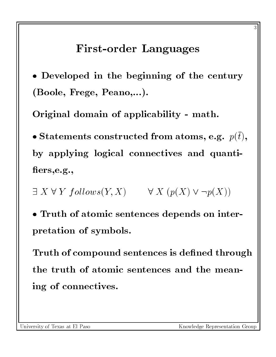#### First-order Languages

 $\bullet$  Developed in the beginning of the century  $\quad$   $\parallel$ (Boole, Frege, Peano,...).

Original domain of applicability - math.

 $\bullet$  Statements constructed from atoms, e.g.  $\ p(t),$ by applying logical connectives and quanti fiers, e.g.,

 $\exists X \forall Y \ follows(Y, X) \qquad \forall X \ (p(X) \lor \neg p(X))$ 

 $\bullet$  <code>iruth</code> of atomic sentences depends on interpretation of symbols.

Truth of compound sentences is defined through the truth of atomic sentences and the meaning of connectives.

University of Texas at El Paso

 $\sim$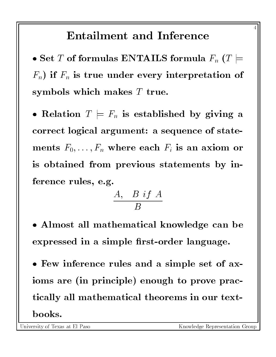## **Entailment and Inference**

 $\bullet$  Set  $T$  of formulas ENTAILS formula  $F_n$   $(T \models \quad \parallel \quad$  $F_n$ ) if  $F_n$  is true under every interpretation of symbols which makes  $T$  true.

 $\bullet$  Relation  $T \models F_n$  is established by giving a  $\;\; \mid$ correct logical argument: a sequence of statements  $F_0,\ldots,F_n$  where each  $F_i$  is an axiom or is obtained from previous statements by inference rules, e.g.

$$
\frac{A,~~B~if~A}{B}
$$

- Almost all mathematical knowledge can be expressed in a simple first-order language.
- $\bullet$  rew inference rules and a simple set of axioms are (in principle) enough to prove practically all mathematical theorems in our text-

University of Texas at El Paso

 $\overline{\phantom{a}}$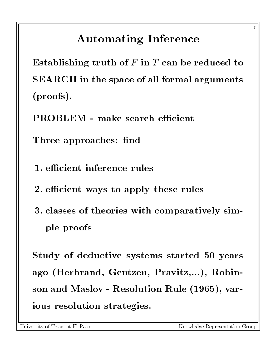# Automating Inference

Establishing truth of  $F$  in  $T$  can be reduced to SEARCH in the space of all formal arguments (proofs).

**PROBLEM** - make search efficient

Three approaches: find

1. efficient inference rules

2. efficient ways to apply these rules

3. classes of theories with comparatively simple proofs

Study of deductive systems started 50 years ago (Herbrand, Gentzen, Pravitz,...), Robinson and Maslov - Resolution Rule (1965), various resolution strategies.

University of Texas at El Paso

 $\sim$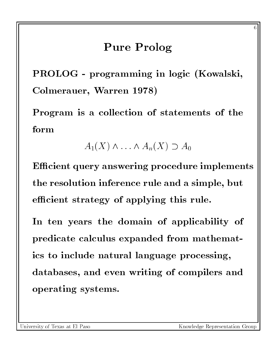#### Pure Prolog

PROLOG - programming in logic (Kowalski, Colmerauer, Warren 1978)

Program is a collection of statements of the form

 $A_1(X) \wedge \ldots \wedge A_n(X) \supset A_0$ 

Efficient query answering procedure implements the resolution inference rule and a simple, but efficient strategy of applying this rule.

In ten years the domain of applicability of predicate calculus expanded from mathematics to include natural language processing, databases, and even writing of compilers and operating systems.

University of Texas at El Paso

 $\sim$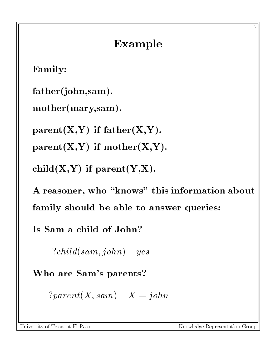# Example

Family:

father(john,sam).

```
mother(mary,sam).
```
 $parent(X,Y)$  if  $father(X,Y)$ .

 $parent(X,Y)$  if  $mother(X,Y)$ .

 $child(X,Y)$  if  $parent(Y,X)$ .

A reasoner, who "knows" this information about family should be able to answer queries:

Is Sam a child of John?

?child(sam; john) yes

Who are Sam's parents?

 $?parent(X, sam) \quad X = john$ 

University of Texas at El Paso

Knowledge Representation Group

-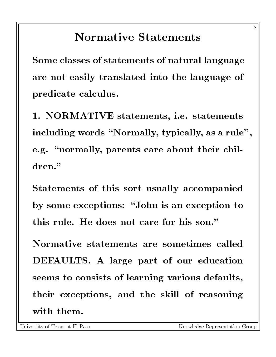## **Normative Statements**

Some classes of statements of natural language are not easily translated into the language of predicate calculus.

1. NORMATIVE statements, i.e. statements including words "Normally, typically, as a rule", e.g. "normally, parents care about their chil-

Statements of this sort usually accompanied by some exceptions: "John is an exception to this rule. He does not care for his son."

Normative statements are sometimes called DEFAULTS. A large part of our education seems to consists of learning various defaults, their exceptions, and the skill of reasoning with them.

 $\tilde{}$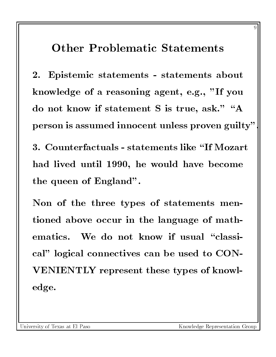#### Other Problematic Statements

2. Epistemic statements - statements about knowledge of a reasoning agent, e.g., "If you do not know if statement S is true, ask." "A person is assumed innocent unless proven guilty".

3. Counterfactuals - statements like \If Mozart had lived until 1990, he would have become the queen of England".

Non of the three types of statements mentioned above occur in the language of mathematics. We do not know if usual "classical" logical connectives can be used to CON-VENIENTLY represent these types of knowledge.

 $\tilde{\phantom{a}}$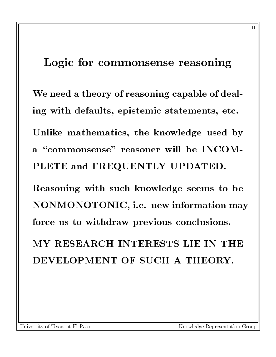#### Logic for commonsense reasoning

We need a theory of reasoning capable of dealing with defaults, epistemic statements, etc. Unlike mathematics, the knowledge used by a "commonsense" reasoner will be INCOM-PLETE and FREQUENTLY UPDATED.

Reasoning with such knowledge seems to be NONMONOTONIC, i.e. new information may force us to withdraw previous conclusions.

MY RESEARCH INTERESTS LIE IN THE

 $-$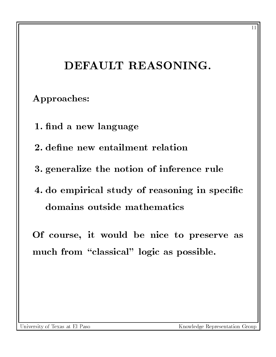## DEFAULT REASONING.

#### Approaches:

- 1. find a new language
- 2. define new entailment relation
- 3. generalize the notion of inference rule
- 4. do empirical study of reasoning in specific domains outside mathematics

Of course, it would be nice to preserve as much from "classical" logic as possible.

University of Texas at El Paso

Knowledge Representation Group

--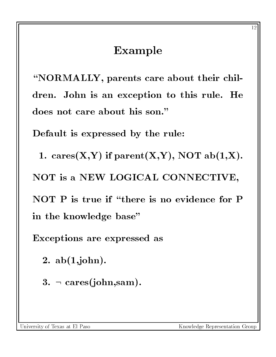#### Example

\NORMALLY, parents care about their children. John is an exception to this rule. He does not care about his son."

Default is expressed by the rule:

1. cares $(X,Y)$  if parent $(X,Y)$ , NOT ab $(1,X)$ . NOT is a NEW LOGICAL CONNECTIVE, NOT  $P$  is true if "there is no evidence for  $P$ in the knowledge base"

Exceptions are expressed as

2. ab(1,john).

 $3. \neg \text{ cares}(\text{join}, \text{sam}).$ 

University of Texas at El Paso

Knowledge Representation Group

 $-1$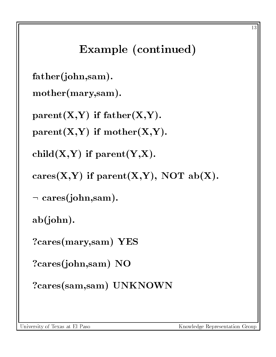# Example (continued)

```
father(john,sam).
```

```
mother(mary,sam).
```
 $parent(X,Y)$  if  $father(X,Y)$ .

 $parent(X,Y)$  if mother $(X,Y)$ .

 $child(X,Y)$  if  $parent(Y,X)$ .

```
cares(X,Y) if parent(X,Y), NOT ab(X).
```

```
\lnot cares(john,sam).
```
ab(john).

?cares(mary,sam) YES

?cares(john,sam) NO

?cares(sam,sam) UNKNOWN

University of Texas at El Paso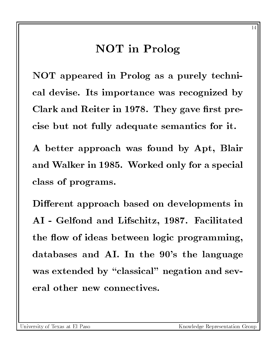#### NOT in Prolog

NOT appeared in Prolog as a purely technical devise. Its importance was recognized by Clark and Reiter in 1978. They gave first precise but not fully adequate semantics for it.

A better approach was found by Apt, Blair and Walker in 1985. Worked only for a special class of programs.

Different approach based on developments in AI - Gelfond and Lifschitz, 1987. Facilitated the flow of ideas between logic programming, databases and AI. In the 90's the language was extended by "classical" negation and several other new connectives.

University of Texas at El Paso

-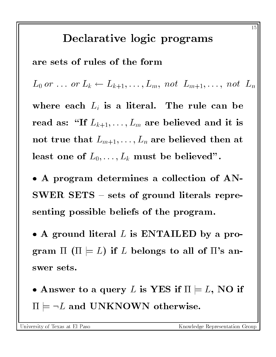#### Declarative logic programs

are sets of rules of the form

 $L_0$  or  $\ldots$  or  $L_k \leftarrow L_{k+1},\ldots,L_m$ , not  $L_{m+1},\ldots$ , not  $L_n$ 

where each  $L_i$  is a literal. The rule can be read as: "If  $L_{k+1},\ldots,L_m$  are believed and it is not true that  $L_{m+1},\ldots,L_n$  are believed then at least one of  $L_0,\ldots,L_k$  must be believed".

 $\bullet$  A program determines a collection of Alv- $\textbf{SWER}$  SETS – sets of ground literals representing possible beliefs of the program.

 $\bullet$  A ground literal  $L$  is ENTAILED by a program  $\Pi$  ( $\Pi \models L$ ) if L belongs to all of  $\Pi$ 's answer sets.

 $\bullet$  Answer to a query  $L$  is YES if  $\Pi \models L,$  NO if  $\Pi \models \neg L$  and UNKNOWN otherwise.

University of Texas at El Paso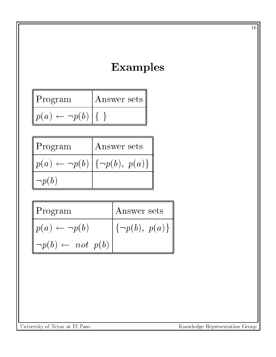## Examples

| Program                     | Answer sets |  |
|-----------------------------|-------------|--|
| $p(a) \leftarrow \neg p(b)$ |             |  |

| $P$ rogram                                           | Answer sets |  |
|------------------------------------------------------|-------------|--|
| $\ p(a) \leftarrow \neg p(b)   \{\neg p(b), p(a)\}\$ |             |  |
| $\mathcal{L} \neg p(b)$                              |             |  |

| $\parallel$ Program                       | Answer sets                                |
|-------------------------------------------|--------------------------------------------|
| $\not\parallel p(a) \leftarrow \neg p(b)$ | $\vert \{\neg p(b),\ p(a)\}\,\vert\!\vert$ |
| $\neg p(b) \leftarrow not \; p(b)$        |                                            |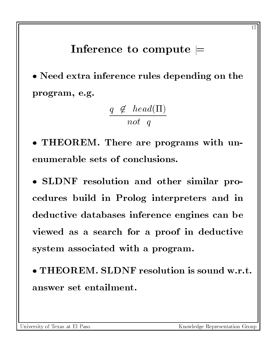#### Inference to compute  $\models$

 $\bullet$  ineed extra inference rules depending on the  $\qquad$  | program, e.g.

$$
\frac{q \notin \text{head}(\Pi)}{\text{not } q}
$$

 $\bullet$  THEOREM. There are programs with unenumerable sets of conclusions.

 $\bullet$  SLDNF resolution and other similar procedures build in Prolog interpreters and in deductive databases inference engines can be viewed as a search for a proof in deductive system associated with a program.

 $\bullet$  <code>IHEOREM. SLDNF</code> resolution is sound w.r.t.  $\parallel$ answer set entailment.

University of Texas at El Paso

Knowledge Representation Group

- -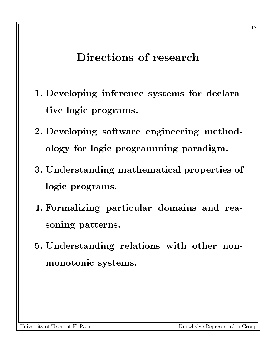## Directions of research

- 1. Developing inference systems for declarative logic programs.
- 2. Developing software engineering methodology for logic programming paradigm.
- 3. Understanding mathematical properties of logic programs.
- 4. Formalizing particular domains and reasoning patterns.
- 5. Understanding relations with other nonmonotonic systems.

 $-$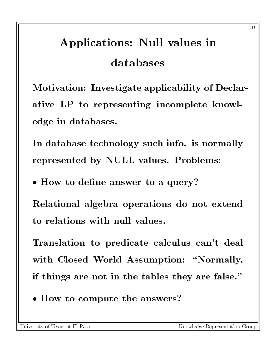# Applications: Null values in databases

Motivation: Investigate applicability of Declarative LP to representing incomplete knowledge in databases.

In database technology such info. is normally represented by NULL values. Problems:

 $\bullet$  How to define answer to a query:

Relational algebra operations do not extend to relations with null values.

Translation to predicate calculus can't deal with Closed World Assumption: "Normally, if things are not in the tables they are false."

 $\bullet$  How to compute the answers.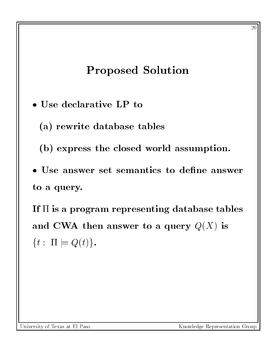#### Proposed Solution

- Use declarative LP to
	- (a) rewrite database tables
	- (b) express the closed world assumption.
- $\bullet$  Use answer set semantics to define answer to a query.

If  $\Pi$  is a program representing database tables and CWA then answer to a query  $Q(X)$  is  $\{t : \Pi \models Q(t)\}.$ 

University of Texas at El Paso

Knowledge Representation Group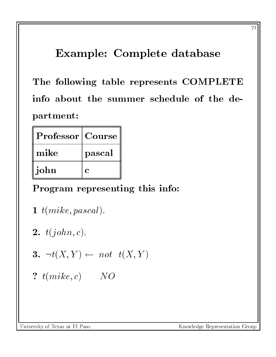## Example: Complete database

The following table represents COMPLETE info about the summer schedule of the department:

| <b>Professor</b>   Course |        |  |
|---------------------------|--------|--|
| mike                      | pascal |  |
| john                      |        |  |

#### Program representing this info:

- 1  $t(mike, pascal)$ .
- 2.  $t(john, c)$ .

$$
3. \ \ \neg t(X,Y) \leftarrow \ not \ \ t(X,Y)
$$

?  $t(mike, c)$  NO

University of Texas at El Paso

- -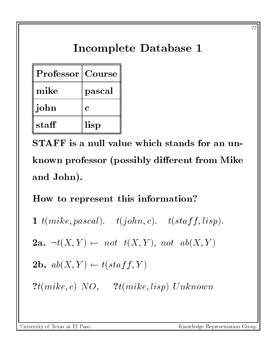# Incomplete Database 1

| <b>Professor</b>   Course |             |
|---------------------------|-------------|
| mike                      | pascal      |
| john                      | $\mathbf C$ |
| staff                     | lisp        |

STAFF is a null value which stands for an unknown professor (possibly different from Mike and John).

How to represent this information?

1  $t(mike, pascal).$   $t(john, c).$   $t(staff, lisp).$ 

2a.  $\neg t(X,Y) \leftarrow not \quad t(X,Y), \; not \quad ab(X,Y)$ 

**2b.**  $ab(X, Y) \leftarrow t(staff, Y)$ 

 $?t(mike, c) NO, 3t(mike, lisp) Unknown$ 

University of Texas at El Paso

--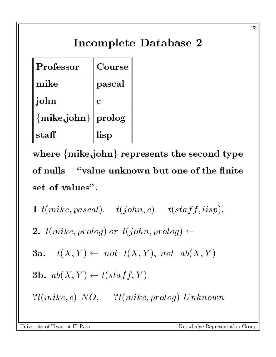# Incomplete Database 2

| Professor        | Course     |  |
|------------------|------------|--|
| mike             | pascal     |  |
| john             | C          |  |
| $\{mike, john\}$ | $ $ prolog |  |
| staff            | lisp       |  |

where  $\{mike, john\}$  represents the second type of nulls  $-$  "value unknown but one of the finite set of values".

1  $t(mike, pascal)$ .  $t(john, c)$ .  $t(staff, lisp)$ .

2.  $t(mike, prolong)$  or  $t(john, prolong) \leftarrow$ 

3a.  $\neg t(X,Y) \leftarrow not \t t(X,Y), not \t ab(X,Y)$ 

**3b.** 
$$
ab(X, Y) \leftarrow t(statf, Y)
$$

 $?t(mike, c) NO, 3t(mike, prolog) Unknown$ 

University of Texas at El Paso

- -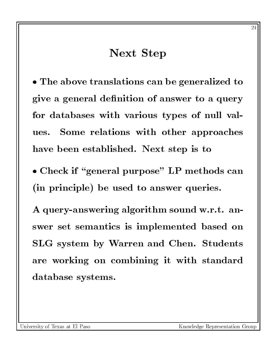#### Next Step

 $\bullet$  The above translations can be generalized to  $\quad$   $\parallel$ give a general definition of answer to a query for databases with various types of null val-Some relations with other approaches ues. have been established. Next step is to

 $\bullet$  Check if "general purpose" LP methods can  $\parallel$ (in principle) be used to answer queries.

A query-answering algorithm sound w.r.t. answer set semantics is implemented based on SLG system by Warren and Chen. Students are working on combining it with standard database systems.

- -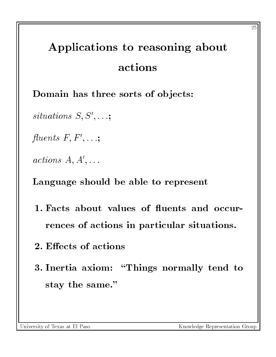# Applications to reasoning about actions

Domain has three sorts of objects:

 $s$ utuations  $\mathcal{S}, \mathcal{S}, \ldots;$ 

 $\mu$ uents  $\Gamma$ ,  $\Gamma$ ,  $\ldots$ ;

 $\mathit{actions}$   $A, A, \ldots$ 

Language should be able to represent

- 1. Facts about values of fluents and occurrences of actions in particular situations.
- 2. Effects of actions
- 3. Inertia axiom: "Things normally tend to stay the same."

University of Texas at El Paso

- -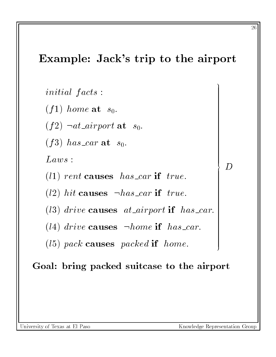#### Example: Jack's trip to the airport

initial facts:

 $(f1)$  home at  $s_0$ .

(f2)  $\lnot$  at airport at s<sub>0</sub>.

(f3) has car at  $s_0$ .

 $Laws$ :

(11) rent causes has car if true.

(12) hit causes  $\neg has\_car$  if true.

(13) drive causes at airport if has car.

(14) drive causes  $\neg home$  if has car.

(15) pack causes packed if home.

#### Goal: bring packed suitcase to the airport

26

<sup>9</sup>

>>>>>>>>>>>>>>>>>>>>>>>>>>>>>>>>>>>>>>>>>>>>>>>>>>>>>>>>=

>>>>>>>>>>>>>>>>>>>>>>>>>>>>>>>>>>>>>>>>>>>>>>>>>>>>>>>>;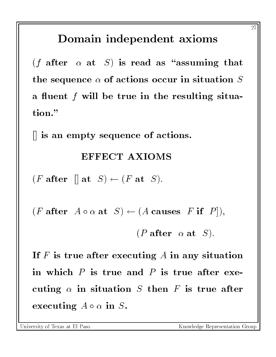## Domain independent axioms

(*f* after  $\alpha$  at *S*) is read as "assuming that the sequence  $\alpha$  of actions occur in situation  $S$ a fluent  $f$  will be true in the resulting situation."

[] is an empty sequence of actions.

#### EFFECT AXIOMS

(*F* after  $\vert \vert$  at  $S \rangle \leftarrow (F \text{ at } S).$ 

 $(F \text{ after } A \circ \alpha \text{ at } S) \leftarrow (A \text{ causes } F \text{ if } P ]),$ 

(*P* after  $\alpha$  at *S*).

If  $F$  is true after executing  $A$  in any situation in which  $P$  is true and  $P$  is true after executing  $\alpha$  in situation S then F is true after executing  $A \circ \alpha$  in S.

University of Texas at El Paso

- -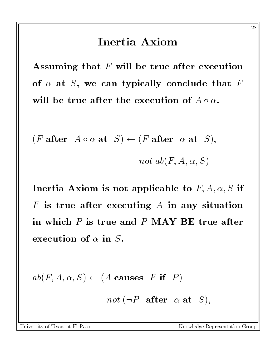#### Inertia Axiom

Assuming that  $F$  will be true after execution of  $\alpha$  at S, we can typically conclude that F will be true after the execution of  $A \circ \alpha$ .

$$
(F \text{ after } A \circ \alpha \text{ at } S) \leftarrow (F \text{ after } \alpha \text{ at } S),
$$

$$
not\; ab(F,A,\alpha,S)
$$

Inertia Axiom is not applicable to  $F, A, \alpha, S$  if  $F$  is true after executing  $A$  in any situation in which  $P$  is true and  $P$  MAY BE true after execution of  $\alpha$  in  $S$ .

 $ab(F, A, \alpha, S) \leftarrow (A \text{ causes } F \text{ if } P)$ 

not  $(\neg P \text{ after } \alpha \text{ at } S),$ 

University of Texas at El Paso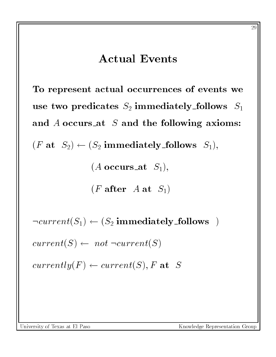#### **Actual Events**

To represent actual occurrences of events we use two predicates  $S_2$  immediately follows  $S_1$ and  $A$  occurs at  $S$  and the following axioms:  $(F \t{at} S_2) \leftarrow (S_2 \t{immediately_follows} S_1),$  $(A \text{ occurs} \text{at } S_1),$  $(F \text{ after } A \text{ at } S_1)$ 

 $\neg current(S_1) \leftarrow (S_2 \text{ immediately-follows})$ 

 $current(S) \leftarrow not \neg current(S)$ 

 $currently(F) \leftarrow current(S), F$  at S

University of Texas at El Paso

Knowledge Representation Group

- -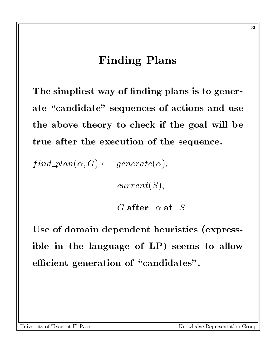#### Finding Plans

The simpliest way of finding plans is to generate "candidate" sequences of actions and use the above theory to check if the goal will be true after the execution of the sequence.

 $find\_plan(\alpha, G) \leftarrow generate(\alpha),$ 

 $current(S),$ 

G after  $\alpha$  at S.

Use of domain dependent heuristics (expressible in the language of LP) seems to allow efficient generation of "candidates".

Knowledge Representation Group

 $\sim$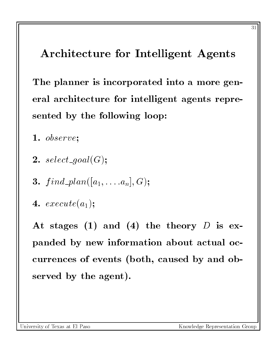## Architecture for Intelligent Agents

The planner is incorporated into a more general architecture for intelligent agents represented by the following loop:

- 1. observe;
- 2. select\_goal $(G)$ ;
- **3.**  $find\_plan([a_1, \ldots, a_n], G);$
- 4.  $execute(a_1);$

At stages (1) and (4) the theory  $D$  is expanded by new information about actual occurrences of events (both, caused by and observed by the agent).

University of Texas at El Paso

Knowledge Representation Group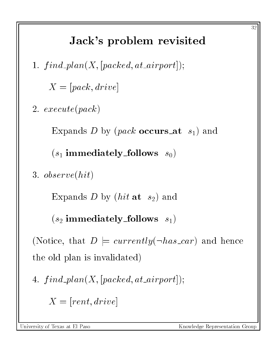# Jack's problem revisited

1.  $find\_plan(X, [packet, at\_airport]);$ 

 $X = [pack, drive]$ 

2. execute(pack)

Expands D by (*pack* occurs at  $s_1$ ) and

 $(s_1$  immediately follows  $s_0$ )

3. observe(hit)

Expands D by  $(hit \t at s<sub>2</sub>)$  and

 $(s_2 \text{ immediately-follows } s_1)$ 

(Notice, that  $D \models currently(\neg has\_car)$  and hence the old plan is invalidated)

$$
4.\ \ find\_plan(X, [packet, at\_airport]);
$$

 $X = [rent, drive]$ 

University of Texas at El Paso